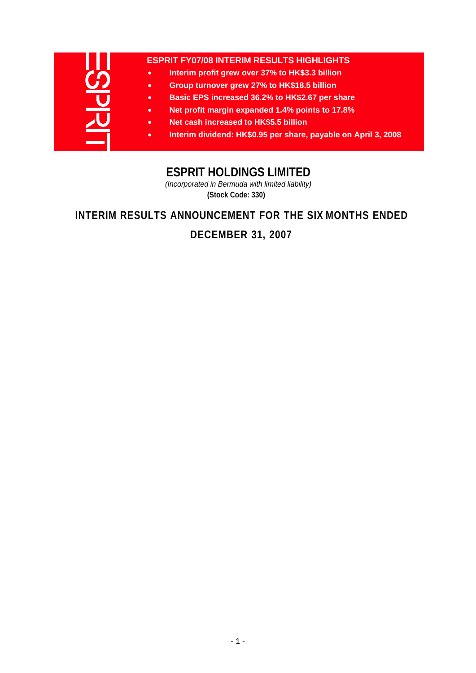| <b>ESPRIT FY07/08 INTERIM RESULTS HIGHLIGHTS</b>                            |
|-----------------------------------------------------------------------------|
| Interim profit grew over 37% to HK\$3.3 billion<br>$\bullet$                |
| Group turnover grew 27% to HK\$18.5 billion<br>$\bullet$                    |
| Basic EPS increased 36.2% to HK\$2.67 per share<br>$\bullet$                |
| Net profit margin expanded 1.4% points to 17.8%<br>٠                        |
| Net cash increased to HK\$5.5 billion<br>$\bullet$                          |
| Interim dividend: HK\$0.95 per share, payable on April 3, 2008<br>$\bullet$ |
|                                                                             |

# **ESPRIT HOLDINGS LIMITED**

*(Incorporated in Bermuda with limited liability)* **(Stock Code: 330)**

# **INTERIM RESULTS ANNOUNCEMENT FOR THE SIX MONTHS ENDED**

# **DECEMBER 31, 2007**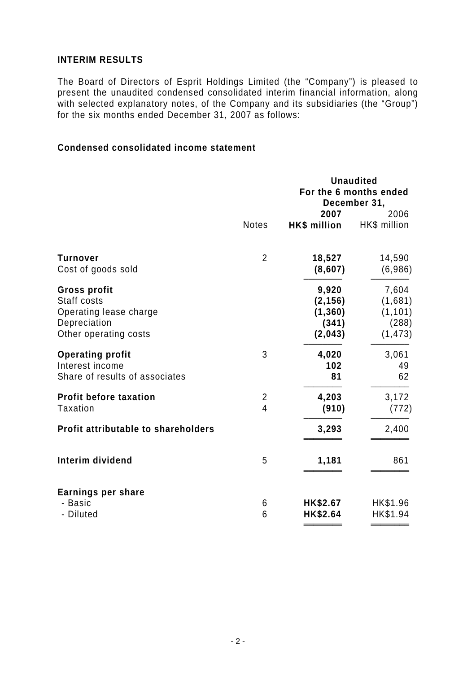## **INTERIM RESULTS**

The Board of Directors of Esprit Holdings Limited (the "Company") is pleased to present the unaudited condensed consolidated interim financial information, along with selected explanatory notes, of the Company and its subsidiaries (the "Group") for the six months ended December 31, 2007 as follows:

### **Condensed consolidated income statement**

|                                                                                                       |                                           |                                                   | <b>Unaudited</b><br>For the 6 months ended<br>December 31, |
|-------------------------------------------------------------------------------------------------------|-------------------------------------------|---------------------------------------------------|------------------------------------------------------------|
|                                                                                                       | <b>Notes</b>                              | 2007<br><b>HK\$</b> million                       | 2006<br>HK\$ million                                       |
| <b>Turnover</b><br>Cost of goods sold                                                                 | $\overline{2}$                            | 18,527<br>(8,607)                                 | 14,590<br>(6,986)                                          |
| <b>Gross profit</b><br>Staff costs<br>Operating lease charge<br>Depreciation<br>Other operating costs |                                           | 9,920<br>(2, 156)<br>(1, 360)<br>(341)<br>(2,043) | 7,604<br>(1,681)<br>(1, 101)<br>(288)<br>(1, 473)          |
| <b>Operating profit</b><br>Interest income<br>Share of results of associates                          | 3                                         | 4,020<br>102<br>81                                | 3,061<br>49<br>62                                          |
| <b>Profit before taxation</b><br><b>Taxation</b>                                                      | $\overline{2}$<br>$\overline{\mathbf{4}}$ | 4,203<br>(910)                                    | 3,172<br>(772)                                             |
| Profit attributable to shareholders                                                                   |                                           | 3,293                                             | 2,400                                                      |
| Interim dividend                                                                                      | 5                                         | 1,181                                             | 861                                                        |
| Earnings per share<br>- Basic<br>- Diluted                                                            | 6<br>6                                    | HK\$2.67<br>HK\$2.64                              | HK\$1.96<br>HK\$1.94                                       |

**════════ ════════**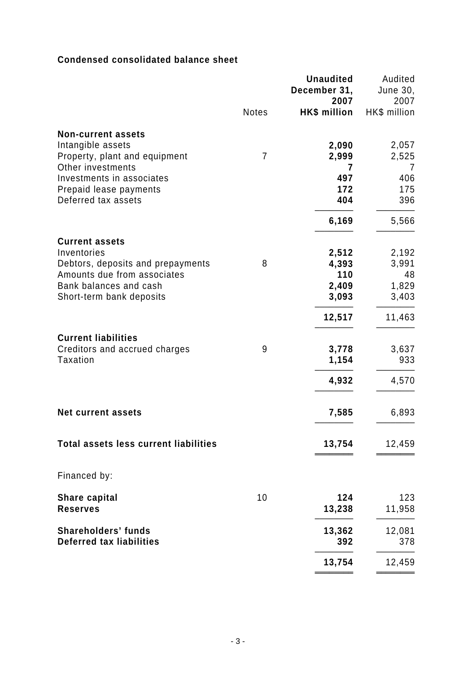## **Condensed consolidated balance sheet**

|                                                                                                                                                                |              | <b>Unaudited</b><br>December 31,<br>2007          | Audited<br><b>June 30,</b><br>2007               |
|----------------------------------------------------------------------------------------------------------------------------------------------------------------|--------------|---------------------------------------------------|--------------------------------------------------|
|                                                                                                                                                                | <b>Notes</b> | <b>HK\$ million</b>                               | HK\$ million                                     |
| <b>Non-current assets</b><br>Intangible assets<br>Property, plant and equipment<br>Other investments                                                           | 7            | 2,090<br>2,999<br>7                               | 2,057<br>2,525<br>7                              |
| Investments in associates<br>Prepaid lease payments<br>Deferred tax assets                                                                                     |              | 497<br>172<br>404                                 | 406<br>175<br>396                                |
|                                                                                                                                                                |              | 6,169                                             | 5,566                                            |
| <b>Current assets</b><br>Inventories<br>Debtors, deposits and prepayments<br>Amounts due from associates<br>Bank balances and cash<br>Short-term bank deposits | 8            | 2,512<br>4,393<br>110<br>2,409<br>3,093<br>12,517 | 2,192<br>3,991<br>48<br>1,829<br>3,403<br>11,463 |
| <b>Current liabilities</b><br>Creditors and accrued charges<br>Taxation                                                                                        | 9            | 3,778<br>1,154<br>4,932                           | 3,637<br>933<br>4,570                            |
| <b>Net current assets</b>                                                                                                                                      |              | 7,585                                             | 6,893                                            |
| <b>Total assets less current liabilities</b>                                                                                                                   |              | 13,754                                            | 12,459                                           |
| Financed by:                                                                                                                                                   |              |                                                   |                                                  |
| Share capital<br><b>Reserves</b>                                                                                                                               | 10           | 124<br>13,238                                     | 123<br>11,958                                    |
| <b>Shareholders' funds</b><br><b>Deferred tax liabilities</b>                                                                                                  |              | 13,362<br>392                                     | 12,081<br>378                                    |
|                                                                                                                                                                |              | 13,754                                            | 12,459                                           |
|                                                                                                                                                                |              |                                                   |                                                  |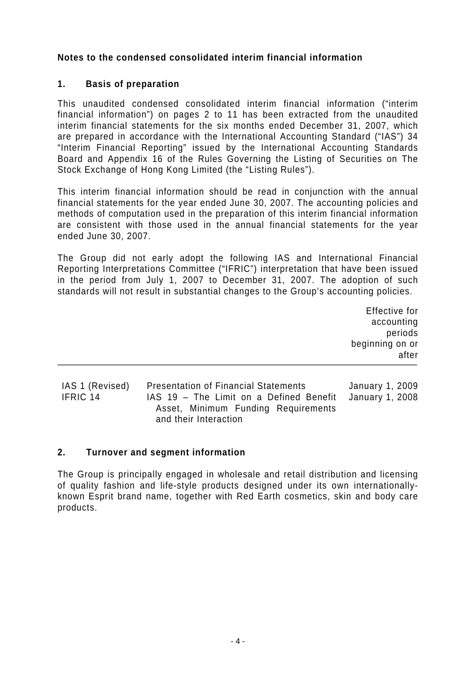## **Notes to the condensed consolidated interim financial information**

## **1. Basis of preparation**

This unaudited condensed consolidated interim financial information ("interim financial information") on pages 2 to 11 has been extracted from the unaudited interim financial statements for the six months ended December 31, 2007, which are prepared in accordance with the International Accounting Standard ("IAS") 34 "Interim Financial Reporting" issued by the International Accounting Standards Board and Appendix 16 of the Rules Governing the Listing of Securities on The Stock Exchange of Hong Kong Limited (the "Listing Rules").

This interim financial information should be read in conjunction with the annual financial statements for the year ended June 30, 2007. The accounting policies and methods of computation used in the preparation of this interim financial information are consistent with those used in the annual financial statements for the year ended June 30, 2007.

The Group did not early adopt the following IAS and International Financial Reporting Interpretations Committee ("IFRIC") interpretation that have been issued in the period from July 1, 2007 to December 31, 2007. The adoption of such standards will not result in substantial changes to the Group's accounting policies.

 Effective for accounting periods beginning on or after **───────────────────────────────────────────────────────────────────────────**

IAS 1 (Revised) Presentation of Financial Statements January 1, 2009 IFRIC 14 IAS 19 – The Limit on a Defined Benefit Asset, Minimum Funding Requirements and their Interaction January 1, 2008

### **2. Turnover and segment information**

The Group is principally engaged in wholesale and retail distribution and licensing of quality fashion and life-style products designed under its own internationallyknown Esprit brand name, together with Red Earth cosmetics, skin and body care products.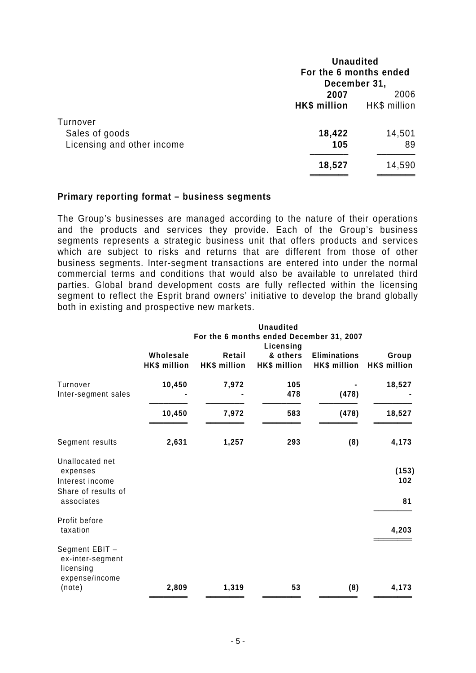| <b>Unaudited</b><br>For the 6 months ended |                                |
|--------------------------------------------|--------------------------------|
|                                            |                                |
| <b>HK\$</b> million                        | 2006<br>HK\$ million           |
|                                            | 14,501                         |
| 105                                        | 89                             |
| 18,527                                     | 14,590                         |
|                                            | December 31,<br>2007<br>18,422 |

#### **Primary reporting format – business segments**

The Group's businesses are managed according to the nature of their operations and the products and services they provide. Each of the Group's business segments represents a strategic business unit that offers products and services which are subject to risks and returns that are different from those of other business segments. Inter-segment transactions are entered into under the normal commercial terms and conditions that would also be available to unrelated third parties. Global brand development costs are fully reflected within the licensing segment to reflect the Esprit brand owners' initiative to develop the brand globally both in existing and prospective new markets.

|                     |              |                                          | <b>Unaudited</b> |                     |              |  |  |
|---------------------|--------------|------------------------------------------|------------------|---------------------|--------------|--|--|
|                     |              | For the 6 months ended December 31, 2007 |                  |                     |              |  |  |
|                     |              |                                          | Licensing        |                     |              |  |  |
|                     | Wholesale    | Retail                                   | & others         | <b>Eliminations</b> | Group        |  |  |
|                     | HK\$ million | HK\$ million                             | HK\$ million     | HK\$ million        | HK\$ million |  |  |
| Turnover            | 10,450       | 7,972                                    | 105              |                     | 18,527       |  |  |
| Inter-segment sales |              |                                          | 478              | (478)               |              |  |  |
|                     | 10,450       | 7,972                                    | 583              | (478)               | 18,527       |  |  |
| Segment results     | 2,631        | 1,257                                    | 293              | (8)                 | 4,173        |  |  |
| Unallocated net     |              |                                          |                  |                     |              |  |  |
| expenses            |              |                                          |                  |                     | (153)        |  |  |
| Interest income     |              |                                          |                  |                     | 102          |  |  |
| Share of results of |              |                                          |                  |                     |              |  |  |
| associates          |              |                                          |                  |                     | 81           |  |  |
| Profit before       |              |                                          |                  |                     |              |  |  |
| taxation            |              |                                          |                  |                     | 4,203        |  |  |
| Segment EBIT -      |              |                                          |                  |                     |              |  |  |
| ex-inter-segment    |              |                                          |                  |                     |              |  |  |
| licensing           |              |                                          |                  |                     |              |  |  |
| expense/income      |              |                                          |                  |                     |              |  |  |
| (note)              | 2,809        | 1,319                                    | 53               | (8)                 | 4,173        |  |  |
|                     |              |                                          |                  |                     |              |  |  |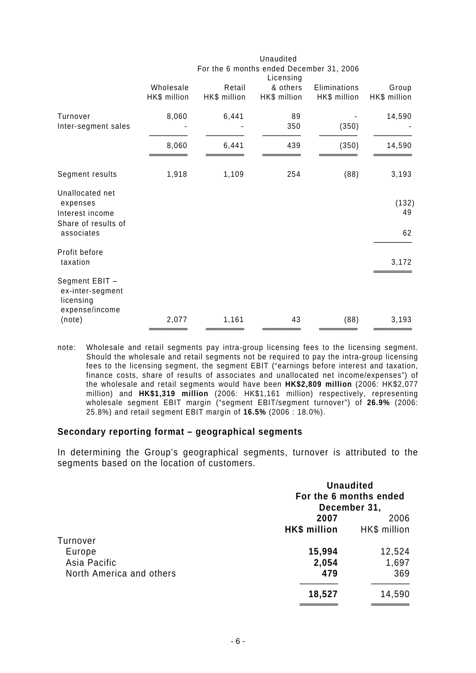|              |              |              | For the 6 months ended December 31, 2006 |              |
|--------------|--------------|--------------|------------------------------------------|--------------|
| Wholesale    | Retail       | & others     | Eliminations                             | Group        |
| HK\$ million | HK\$ million | HK\$ million | HK\$ million                             | HK\$ million |
| 8,060        | 6,441        | 89           |                                          | 14,590       |
|              |              | 350          |                                          |              |
| 8,060        | 6,441        | 439          | (350)                                    | 14,590       |
| 1,918        | 1,109        | 254          | (88)                                     | 3,193        |
|              |              |              |                                          | (132)<br>49  |
|              |              |              |                                          | 62           |
|              |              |              |                                          | 3,172        |
|              |              |              |                                          |              |
| 2,077        | 1,161        | 43           | (88)                                     | 3,193        |
|              |              |              | Licensing                                | (350)        |

note: Wholesale and retail segments pay intra-group licensing fees to the licensing segment. Should the wholesale and retail segments not be required to pay the intra-group licensing fees to the licensing segment, the segment EBIT ("earnings before interest and taxation, finance costs, share of results of associates and unallocated net income/expenses") of the wholesale and retail segments would have been **HK\$2,809 million** (2006: HK\$2,077 million) and **HK\$1,319 million** (2006: HK\$1,161 million) respectively, representing wholesale segment EBIT margin ("segment EBIT/segment turnover") of **26.9%** (2006: 25.8%) and retail segment EBIT margin of **16.5%** (2006 : 18.0%).

#### **Secondary reporting format – geographical segments**

In determining the Group's geographical segments, turnover is attributed to the segments based on the location of customers.

|                          | <b>Unaudited</b><br>For the 6 months ended<br>December 31, |              |
|--------------------------|------------------------------------------------------------|--------------|
|                          | 2007                                                       | 2006         |
|                          | HK\$ million                                               | HK\$ million |
| Turnover                 |                                                            |              |
| Europe                   | 15,994                                                     | 12,524       |
| Asia Pacific             | 2,054                                                      | 1,697        |
| North America and others | 479                                                        | 369          |
|                          | 18,527                                                     | 14,590       |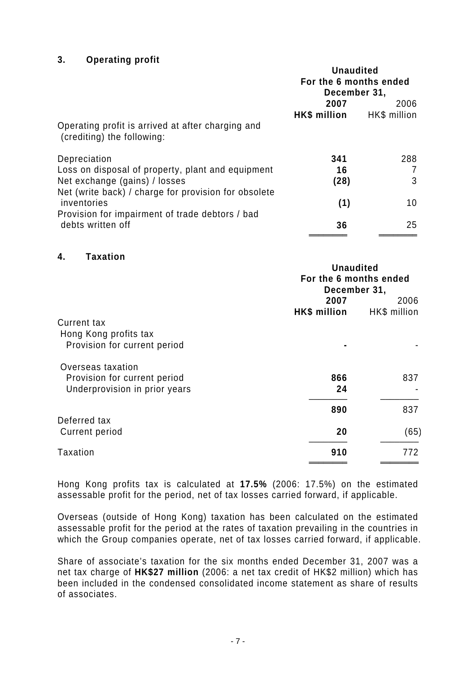### **3. Operating profit**

|                                                                                 | <b>Unaudited</b>       |                 |
|---------------------------------------------------------------------------------|------------------------|-----------------|
|                                                                                 | For the 6 months ended |                 |
|                                                                                 | December 31,           |                 |
|                                                                                 | 2007                   | 2006            |
|                                                                                 | HK\$ million           | HK\$ million    |
| Operating profit is arrived at after charging and<br>(crediting) the following: |                        |                 |
| Depreciation                                                                    | 341                    | 288             |
| Loss on disposal of property, plant and equipment                               | 16                     | 7               |
| Net exchange (gains) / losses                                                   | (28)                   | 3               |
| Net (write back) / charge for provision for obsolete<br>inventories             | (1)                    | 10 <sup>°</sup> |
| Provision for impairment of trade debtors / bad<br>debts written off            | 36                     | 25              |

#### **4. Taxation**

|                               | <b>Unaudited</b><br>For the 6 months ended<br>December 31, |              |
|-------------------------------|------------------------------------------------------------|--------------|
|                               | 2007                                                       | 2006         |
|                               | HK\$ million                                               | HK\$ million |
| <b>Current tax</b>            |                                                            |              |
| Hong Kong profits tax         |                                                            |              |
| Provision for current period  |                                                            |              |
| Overseas taxation             |                                                            |              |
| Provision for current period  | 866                                                        | 837          |
| Underprovision in prior years | 24                                                         |              |
|                               | 890                                                        | 837          |
| Deferred tax                  |                                                            |              |
| <b>Current period</b>         | 20                                                         | (65)         |
| Taxation                      | 910                                                        | 772          |
|                               |                                                            |              |

Hong Kong profits tax is calculated at **17.5%** (2006: 17.5%) on the estimated assessable profit for the period, net of tax losses carried forward, if applicable.

Overseas (outside of Hong Kong) taxation has been calculated on the estimated assessable profit for the period at the rates of taxation prevailing in the countries in which the Group companies operate, net of tax losses carried forward, if applicable.

Share of associate's taxation for the six months ended December 31, 2007 was a net tax charge of **HK\$27 million** (2006: a net tax credit of HK\$2 million) which has been included in the condensed consolidated income statement as share of results of associates.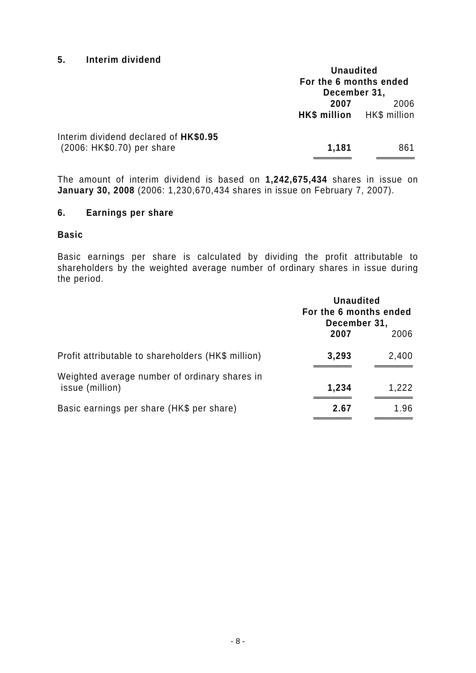### **5. Interim dividend**

|                                                                     | <b>Unaudited</b><br>For the 6 months ended<br>December 31, |      |
|---------------------------------------------------------------------|------------------------------------------------------------|------|
|                                                                     | 2007<br>HK\$ million HK\$ million                          | 2006 |
| Interim dividend declared of HK\$0.95<br>(2006: HK\$0.70) per share | 1,181                                                      | 861  |

The amount of interim dividend is based on **1,242,675,434** shares in issue on **January 30, 2008** (2006: 1,230,670,434 shares in issue on February 7, 2007).

### **6. Earnings per share**

#### **Basic**

Basic earnings per share is calculated by dividing the profit attributable to shareholders by the weighted average number of ordinary shares in issue during the period.

|                                                                  | <b>Unaudited</b><br>For the 6 months ended<br>December 31, |       |
|------------------------------------------------------------------|------------------------------------------------------------|-------|
|                                                                  | 2007                                                       | 2006  |
| Profit attributable to shareholders (HK\$ million)               | 3,293                                                      | 2,400 |
| Weighted average number of ordinary shares in<br>issue (million) | 1,234                                                      | 1,222 |
| Basic earnings per share (HK\$ per share)                        | 2.67                                                       | 1.96  |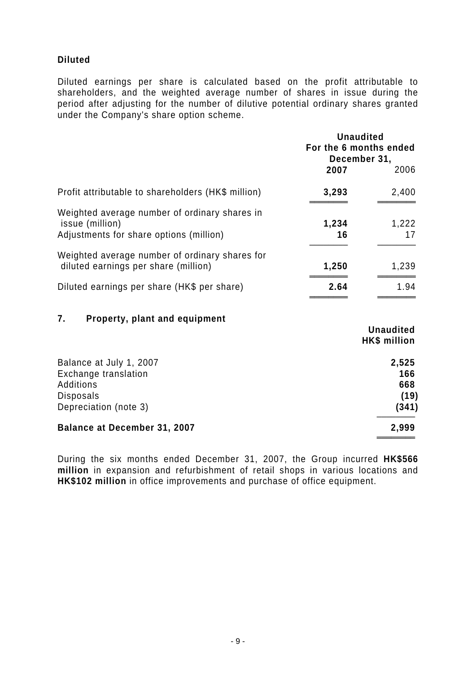## **Diluted**

Diluted earnings per share is calculated based on the profit attributable to shareholders, and the weighted average number of shares in issue during the period after adjusting for the number of dilutive potential ordinary shares granted under the Company's share option scheme.

|                                                                                                                  | <b>Unaudited</b><br>For the 6 months ended<br>December 31, |                                         |
|------------------------------------------------------------------------------------------------------------------|------------------------------------------------------------|-----------------------------------------|
|                                                                                                                  | 2007                                                       | 2006                                    |
| Profit attributable to shareholders (HK\$ million)                                                               | 3,293                                                      | 2,400                                   |
| Weighted average number of ordinary shares in<br>issue (million)<br>Adjustments for share options (million)      | 1,234<br>16                                                | 1,222<br>17                             |
| Weighted average number of ordinary shares for<br>diluted earnings per share (million)                           | 1,250                                                      | 1,239                                   |
| Diluted earnings per share (HK\$ per share)                                                                      | 2.64                                                       | 1.94                                    |
| 7.<br>Property, plant and equipment                                                                              |                                                            | <b>Unaudited</b><br><b>HK\$</b> million |
| Balance at July 1, 2007<br>Exchange translation<br><b>Additions</b><br><b>Disposals</b><br>Depreciation (note 3) |                                                            | 2,525<br>166<br>668<br>(19)<br>(341)    |
| <b>Balance at December 31, 2007</b>                                                                              |                                                            | 2,999                                   |

During the six months ended December 31, 2007, the Group incurred **HK\$566 million** in expansion and refurbishment of retail shops in various locations and **HK\$102 million** in office improvements and purchase of office equipment.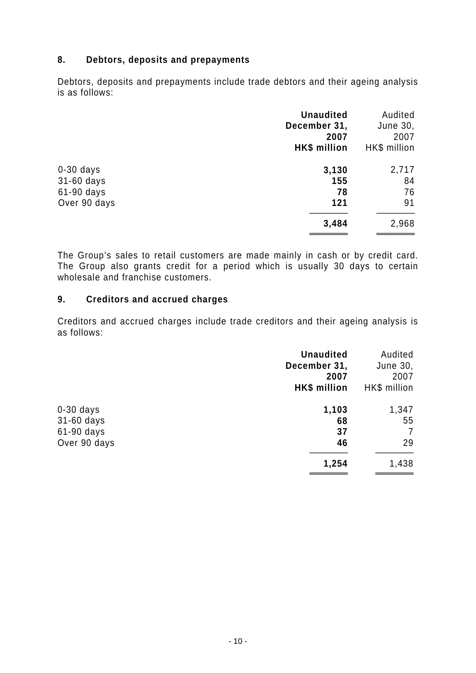### **8. Debtors, deposits and prepayments**

Debtors, deposits and prepayments include trade debtors and their ageing analysis is as follows:

| <b>Unaudited</b><br>December 31,<br>2007<br>HK\$ million | Audited<br>June 30,<br>2007<br>HK\$ million |
|----------------------------------------------------------|---------------------------------------------|
| 3,130                                                    | 2,717                                       |
| 155                                                      | 84                                          |
| 78                                                       | 76                                          |
| 121                                                      | 91                                          |
| 3,484                                                    | 2,968                                       |
|                                                          |                                             |

The Group's sales to retail customers are made mainly in cash or by credit card. The Group also grants credit for a period which is usually 30 days to certain wholesale and franchise customers.

### **9. Creditors and accrued charges**

Creditors and accrued charges include trade creditors and their ageing analysis is as follows:

|              | <b>Unaudited</b><br>December 31,<br>2007<br>HK\$ million | Audited<br>June 30,<br>2007<br>HK\$ million |
|--------------|----------------------------------------------------------|---------------------------------------------|
| $0-30$ days  | 1,103                                                    | 1,347                                       |
| 31-60 days   | 68                                                       | 55                                          |
| 61-90 days   | 37                                                       | 7                                           |
| Over 90 days | 46                                                       | 29                                          |
|              | 1,254                                                    | 1,438                                       |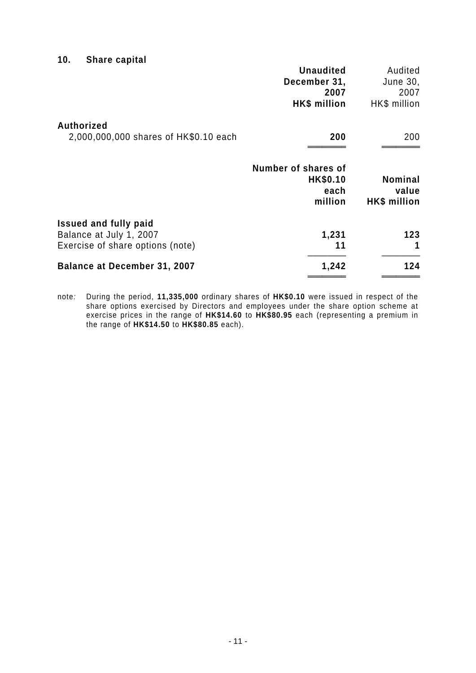## **10. Share capital**

|                                                                                             | <b>Unaudited</b><br>December 31,<br>2007<br>HK\$ million  | Audited<br>June 30,<br>2007<br>HK\$ million |
|---------------------------------------------------------------------------------------------|-----------------------------------------------------------|---------------------------------------------|
| <b>Authorized</b><br>2,000,000,000 shares of HK\$0.10 each                                  | 200                                                       | 200                                         |
|                                                                                             | Number of shares of<br><b>HK\$0.10</b><br>each<br>million | <b>Nominal</b><br>value<br>HK\$ million     |
| <b>Issued and fully paid</b><br>Balance at July 1, 2007<br>Exercise of share options (note) | 1,231<br>11                                               | 123<br>1                                    |
| <b>Balance at December 31, 2007</b>                                                         | 1,242                                                     | 124                                         |

note*:* During the period, **11,335,000** ordinary shares of **HK\$0.10** were issued in respect of the share options exercised by Directors and employees under the share option scheme at exercise prices in the range of **HK\$14.60** to **HK\$80.95** each (representing a premium in the range of **HK\$14.50** to **HK\$80.85** each).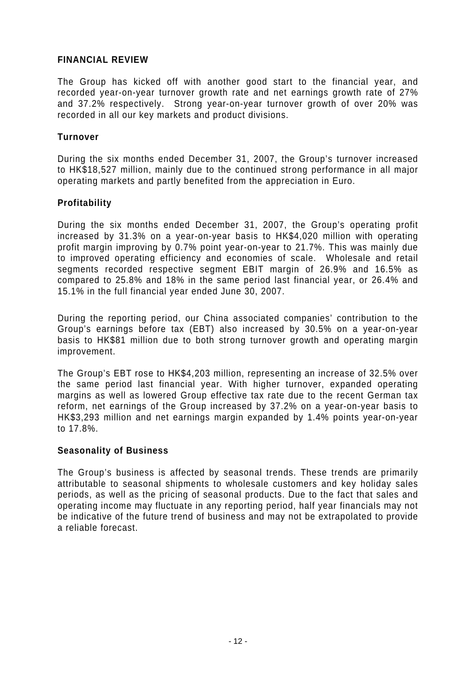### **FINANCIAL REVIEW**

The Group has kicked off with another good start to the financial year, and recorded year-on-year turnover growth rate and net earnings growth rate of 27% and 37.2% respectively. Strong year-on-year turnover growth of over 20% was recorded in all our key markets and product divisions.

### **Turnover**

During the six months ended December 31, 2007, the Group's turnover increased to HK\$18,527 million, mainly due to the continued strong performance in all major operating markets and partly benefited from the appreciation in Euro.

### **Profitability**

During the six months ended December 31, 2007, the Group's operating profit increased by 31.3% on a year-on-year basis to HK\$4,020 million with operating profit margin improving by 0.7% point year-on-year to 21.7%. This was mainly due to improved operating efficiency and economies of scale. Wholesale and retail segments recorded respective segment EBIT margin of 26.9% and 16.5% as compared to 25.8% and 18% in the same period last financial year, or 26.4% and 15.1% in the full financial year ended June 30, 2007.

During the reporting period, our China associated companies' contribution to the Group's earnings before tax (EBT) also increased by 30.5% on a year-on-year basis to HK\$81 million due to both strong turnover growth and operating margin improvement.

The Group's EBT rose to HK\$4,203 million, representing an increase of 32.5% over the same period last financial year. With higher turnover, expanded operating margins as well as lowered Group effective tax rate due to the recent German tax reform, net earnings of the Group increased by 37.2% on a year-on-year basis to HK\$3,293 million and net earnings margin expanded by 1.4% points year-on-year to 17.8%.

### **Seasonality of Business**

The Group's business is affected by seasonal trends. These trends are primarily attributable to seasonal shipments to wholesale customers and key holiday sales periods, as well as the pricing of seasonal products. Due to the fact that sales and operating income may fluctuate in any reporting period, half year financials may not be indicative of the future trend of business and may not be extrapolated to provide a reliable forecast.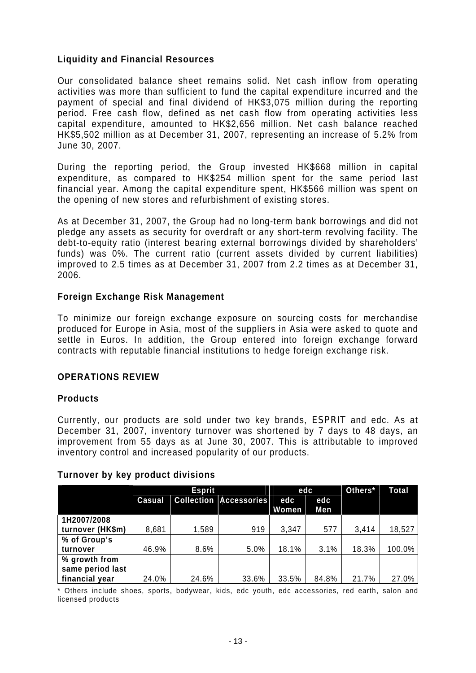### **Liquidity and Financial Resources**

Our consolidated balance sheet remains solid. Net cash inflow from operating activities was more than sufficient to fund the capital expenditure incurred and the payment of special and final dividend of HK\$3,075 million during the reporting period. Free cash flow, defined as net cash flow from operating activities less capital expenditure, amounted to HK\$2,656 million. Net cash balance reached HK\$5,502 million as at December 31, 2007, representing an increase of 5.2% from June 30, 2007.

During the reporting period, the Group invested HK\$668 million in capital expenditure, as compared to HK\$254 million spent for the same period last financial year. Among the capital expenditure spent, HK\$566 million was spent on the opening of new stores and refurbishment of existing stores.

As at December 31, 2007, the Group had no long-term bank borrowings and did not pledge any assets as security for overdraft or any short-term revolving facility. The debt-to-equity ratio (interest bearing external borrowings divided by shareholders' funds) was 0%. The current ratio (current assets divided by current liabilities) improved to 2.5 times as at December 31, 2007 from 2.2 times as at December 31, 2006.

### **Foreign Exchange Risk Management**

To minimize our foreign exchange exposure on sourcing costs for merchandise produced for Europe in Asia, most of the suppliers in Asia were asked to quote and settle in Euros. In addition, the Group entered into foreign exchange forward contracts with reputable financial institutions to hedge foreign exchange risk.

### **OPERATIONS REVIEW**

### **Products**

Currently, our products are sold under two key brands, ESPRIT and edc. As at December 31, 2007, inventory turnover was shortened by 7 days to 48 days, an improvement from 55 days as at June 30, 2007. This is attributable to improved inventory control and increased popularity of our products.

# **Turnover by key product divisions**

|                  | <b>Esprit</b> |       |                               | edc          |       | Others* | <b>Total</b> |
|------------------|---------------|-------|-------------------------------|--------------|-------|---------|--------------|
|                  | Casual        |       | <b>Collection Accessories</b> | edc          | edc   |         |              |
|                  |               |       |                               | <b>Women</b> | Men   |         |              |
| 1H2007/2008      |               |       |                               |              |       |         |              |
| turnover (HK\$m) | 8,681         | 1,589 | 919                           | 3,347        | 577   | 3,414   | 18,527       |
| % of Group's     |               |       |                               |              |       |         |              |
| turnover         | 46.9%         | 8.6%  | 5.0%                          | 18.1%        | 3.1%  | 18.3%   | 100.0%       |
| % growth from    |               |       |                               |              |       |         |              |
| same period last |               |       |                               |              |       |         |              |
| financial year   | 24.0%         | 24.6% | 33.6%                         | 33.5%        | 84.8% | 21.7%   | 27.0%        |

\* Others include shoes, sports, bodywear, kids, edc youth, edc accessories, red earth, salon and licensed products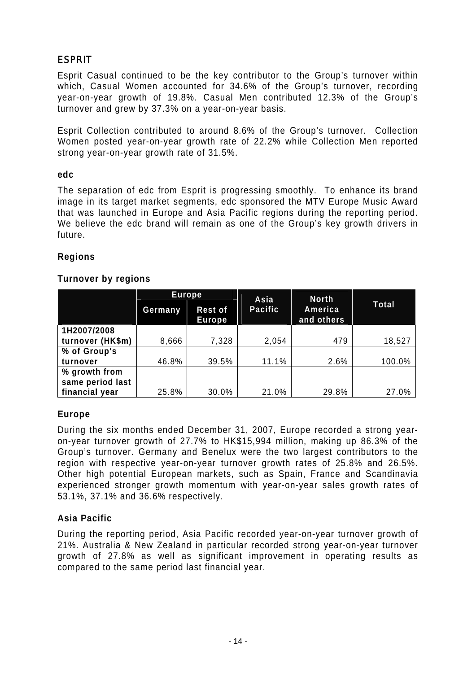# **ESPRIT**

Esprit Casual continued to be the key contributor to the Group's turnover within which, Casual Women accounted for 34.6% of the Group's turnover, recording year-on-year growth of 19.8%. Casual Men contributed 12.3% of the Group's turnover and grew by 37.3% on a year-on-year basis.

Esprit Collection contributed to around 8.6% of the Group's turnover. Collection Women posted year-on-year growth rate of 22.2% while Collection Men reported strong year-on-year growth rate of 31.5%.

### **edc**

The separation of edc from Esprit is progressing smoothly. To enhance its brand image in its target market segments, edc sponsored the MTV Europe Music Award that was launched in Europe and Asia Pacific regions during the reporting period. We believe the edc brand will remain as one of the Group's key growth drivers in future.

### **Regions**

### **Turnover by regions**

|                  | Europe  |                                 | Asia           | <b>North</b>          |              |
|------------------|---------|---------------------------------|----------------|-----------------------|--------------|
|                  | Germany | <b>Rest of</b><br><b>Europe</b> | <b>Pacific</b> | America<br>and others | <b>Total</b> |
| 1H2007/2008      |         |                                 |                |                       |              |
| turnover (HK\$m) | 8,666   | 7,328                           | 2,054          | 479                   | 18,527       |
| % of Group's     |         |                                 |                |                       |              |
| turnover         | 46.8%   | 39.5%                           | 11.1%          | 2.6%                  | 100.0%       |
| % growth from    |         |                                 |                |                       |              |
| same period last |         |                                 |                |                       |              |
| financial year   | 25.8%   | 30.0%                           | 21.0%          | 29.8%                 | 27.0%        |

## **Europe**

During the six months ended December 31, 2007, Europe recorded a strong yearon-year turnover growth of 27.7% to HK\$15,994 million, making up 86.3% of the Group's turnover. Germany and Benelux were the two largest contributors to the region with respective year-on-year turnover growth rates of 25.8% and 26.5%. Other high potential European markets, such as Spain, France and Scandinavia experienced stronger growth momentum with year-on-year sales growth rates of 53.1%, 37.1% and 36.6% respectively.

### **Asia Pacific**

During the reporting period, Asia Pacific recorded year-on-year turnover growth of 21%. Australia & New Zealand in particular recorded strong year-on-year turnover growth of 27.8% as well as significant improvement in operating results as compared to the same period last financial year.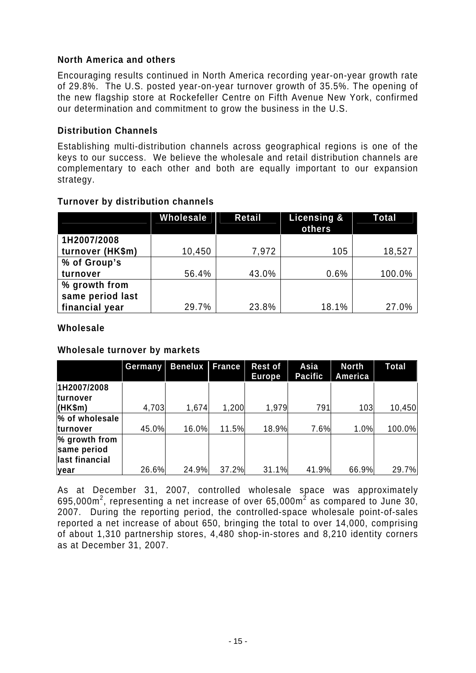## **North America and others**

Encouraging results continued in North America recording year-on-year growth rate of 29.8%. The U.S. posted year-on-year turnover growth of 35.5%. The opening of the new flagship store at Rockefeller Centre on Fifth Avenue New York, confirmed our determination and commitment to grow the business in the U.S.

### **Distribution Channels**

Establishing multi-distribution channels across geographical regions is one of the keys to our success. We believe the wholesale and retail distribution channels are complementary to each other and both are equally important to our expansion strategy.

|                  | Wholesale | Retail | Licensing &<br>others | Total  |
|------------------|-----------|--------|-----------------------|--------|
| 1H2007/2008      |           |        |                       |        |
| turnover (HK\$m) | 10,450    | 7,972  | 105                   | 18,527 |
| % of Group's     |           |        |                       |        |
| turnover         | 56.4%     | 43.0%  | 0.6%                  | 100.0% |
| % growth from    |           |        |                       |        |
| same period last |           |        |                       |        |
| financial year   | 29.7%     | 23.8%  | 18.1%                 | 27.0%  |

### **Turnover by distribution channels**

### **Wholesale**

### **Wholesale turnover by markets**

|                                                | Germany | <b>Benelux</b> | <b>France</b> | <b>Rest of</b><br><b>Europe</b> | Asia<br><b>Pacific</b> | <b>North</b><br>America | Total  |
|------------------------------------------------|---------|----------------|---------------|---------------------------------|------------------------|-------------------------|--------|
| 1H2007/2008<br><b>turnover</b>                 |         |                |               |                                 |                        |                         |        |
| (HK\$m)                                        | 4,703   | 1,674          | 1,200         | 1,979                           | 791                    | 103                     | 10,450 |
| % of wholesale                                 |         |                |               |                                 |                        |                         |        |
| <b>turnover</b>                                | 45.0%   | 16.0%          | 11.5%         | 18.9%                           | 7.6%                   | 1.0%                    | 100.0% |
| % growth from<br>same period<br>last financial |         |                |               |                                 |                        |                         |        |
| lyear                                          | 26.6%   | 24.9%          | 37.2%         | 31.1%                           | 41.9%                  | 66.9%                   | 29.7%  |

As at December 31, 2007, controlled wholesale space was approximately 695,000 $m^2$ , representing a net increase of over 65,000 $m^2$  as compared to June 30, 2007. During the reporting period, the controlled-space wholesale point-of-sales reported a net increase of about 650, bringing the total to over 14,000, comprising of about 1,310 partnership stores, 4,480 shop-in-stores and 8,210 identity corners as at December 31, 2007.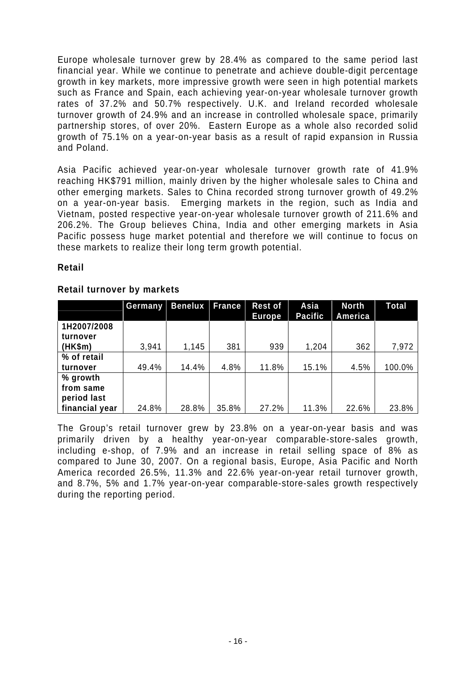Europe wholesale turnover grew by 28.4% as compared to the same period last financial year. While we continue to penetrate and achieve double-digit percentage growth in key markets, more impressive growth were seen in high potential markets such as France and Spain, each achieving year-on-year wholesale turnover growth rates of 37.2% and 50.7% respectively. U.K. and Ireland recorded wholesale turnover growth of 24.9% and an increase in controlled wholesale space, primarily partnership stores, of over 20%. Eastern Europe as a whole also recorded solid growth of 75.1% on a year-on-year basis as a result of rapid expansion in Russia and Poland.

Asia Pacific achieved year-on-year wholesale turnover growth rate of 41.9% reaching HK\$791 million, mainly driven by the higher wholesale sales to China and other emerging markets. Sales to China recorded strong turnover growth of 49.2% on a year-on-year basis. Emerging markets in the region, such as India and Vietnam, posted respective year-on-year wholesale turnover growth of 211.6% and 206.2%. The Group believes China, India and other emerging markets in Asia Pacific possess huge market potential and therefore we will continue to focus on these markets to realize their long term growth potential.

### **Retail**

|                | Germany | <b>Benelux</b> | <b>France</b> | <b>Rest of</b><br><b>Europe</b> | Asia<br><b>Pacific</b> | <b>North</b><br>America | Total  |
|----------------|---------|----------------|---------------|---------------------------------|------------------------|-------------------------|--------|
| 1H2007/2008    |         |                |               |                                 |                        |                         |        |
| turnover       |         |                |               |                                 |                        |                         |        |
| (HK\$m)        | 3,941   | 1,145          | 381           | 939                             | 1,204                  | 362                     | 7,972  |
| % of retail    |         |                |               |                                 |                        |                         |        |
| turnover       | 49.4%   | 14.4%          | 4.8%          | 11.8%                           | 15.1%                  | 4.5%                    | 100.0% |
| % growth       |         |                |               |                                 |                        |                         |        |
| from same      |         |                |               |                                 |                        |                         |        |
| period last    |         |                |               |                                 |                        |                         |        |
| financial year | 24.8%   | 28.8%          | 35.8%         | 27.2%                           | 11.3%                  | 22.6%                   | 23.8%  |

### **Retail turnover by markets**

The Group's retail turnover grew by 23.8% on a year-on-year basis and was primarily driven by a healthy year-on-year comparable-store-sales growth, including e-shop, of 7.9% and an increase in retail selling space of 8% as compared to June 30, 2007. On a regional basis, Europe, Asia Pacific and North America recorded 26.5%, 11.3% and 22.6% year-on-year retail turnover growth, and 8.7%, 5% and 1.7% year-on-year comparable-store-sales growth respectively during the reporting period.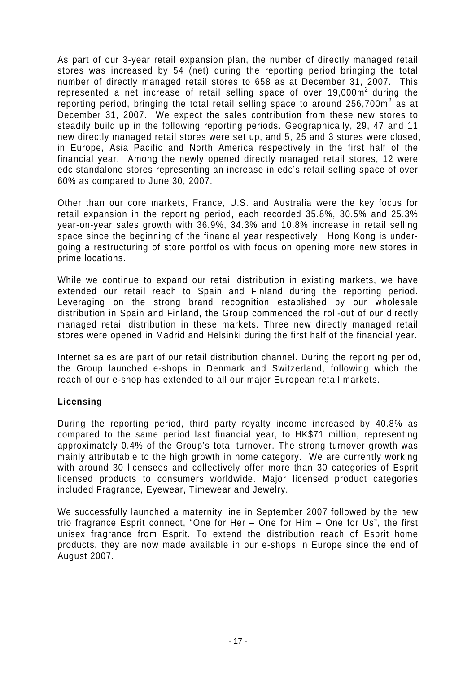As part of our 3-year retail expansion plan, the number of directly managed retail stores was increased by 54 (net) during the reporting period bringing the total number of directly managed retail stores to 658 as at December 31, 2007. This represented a net increase of retail selling space of over  $19,000m^2$  during the reporting period, bringing the total retail selling space to around 256,700 $m^2$  as at December 31, 2007. We expect the sales contribution from these new stores to steadily build up in the following reporting periods. Geographically, 29, 47 and 11 new directly managed retail stores were set up, and 5, 25 and 3 stores were closed, in Europe, Asia Pacific and North America respectively in the first half of the financial year. Among the newly opened directly managed retail stores, 12 were edc standalone stores representing an increase in edc's retail selling space of over 60% as compared to June 30, 2007.

Other than our core markets, France, U.S. and Australia were the key focus for retail expansion in the reporting period, each recorded 35.8%, 30.5% and 25.3% year-on-year sales growth with 36.9%, 34.3% and 10.8% increase in retail selling space since the beginning of the financial year respectively. Hong Kong is undergoing a restructuring of store portfolios with focus on opening more new stores in prime locations.

While we continue to expand our retail distribution in existing markets, we have extended our retail reach to Spain and Finland during the reporting period. Leveraging on the strong brand recognition established by our wholesale distribution in Spain and Finland, the Group commenced the roll-out of our directly managed retail distribution in these markets. Three new directly managed retail stores were opened in Madrid and Helsinki during the first half of the financial year.

Internet sales are part of our retail distribution channel. During the reporting period, the Group launched e-shops in Denmark and Switzerland, following which the reach of our e-shop has extended to all our major European retail markets.

### **Licensing**

During the reporting period, third party royalty income increased by 40.8% as compared to the same period last financial year, to HK\$71 million, representing approximately 0.4% of the Group's total turnover. The strong turnover growth was mainly attributable to the high growth in home category. We are currently working with around 30 licensees and collectively offer more than 30 categories of Esprit licensed products to consumers worldwide. Major licensed product categories included Fragrance, Eyewear, Timewear and Jewelry.

We successfully launched a maternity line in September 2007 followed by the new trio fragrance Esprit connect, "One for Her – One for Him – One for Us", the first unisex fragrance from Esprit. To extend the distribution reach of Esprit home products, they are now made available in our e-shops in Europe since the end of August 2007.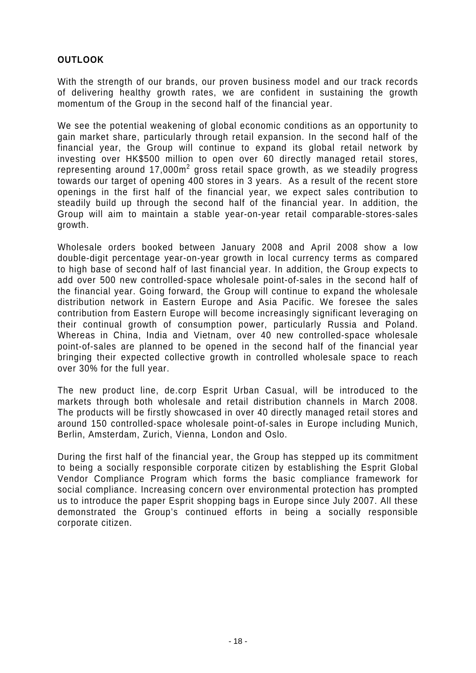## **OUTLOOK**

With the strength of our brands, our proven business model and our track records of delivering healthy growth rates, we are confident in sustaining the growth momentum of the Group in the second half of the financial year.

We see the potential weakening of global economic conditions as an opportunity to gain market share, particularly through retail expansion. In the second half of the financial year, the Group will continue to expand its global retail network by investing over HK\$500 million to open over 60 directly managed retail stores, representing around 17,000 $m^2$  gross retail space growth, as we steadily progress towards our target of opening 400 stores in 3 years. As a result of the recent store openings in the first half of the financial year, we expect sales contribution to steadily build up through the second half of the financial year. In addition, the Group will aim to maintain a stable year-on-year retail comparable-stores-sales growth.

Wholesale orders booked between January 2008 and April 2008 show a low double-digit percentage year-on-year growth in local currency terms as compared to high base of second half of last financial year. In addition, the Group expects to add over 500 new controlled-space wholesale point-of-sales in the second half of the financial year. Going forward, the Group will continue to expand the wholesale distribution network in Eastern Europe and Asia Pacific. We foresee the sales contribution from Eastern Europe will become increasingly significant leveraging on their continual growth of consumption power, particularly Russia and Poland. Whereas in China, India and Vietnam, over 40 new controlled-space wholesale point-of-sales are planned to be opened in the second half of the financial year bringing their expected collective growth in controlled wholesale space to reach over 30% for the full year.

The new product line, de.corp Esprit Urban Casual, will be introduced to the markets through both wholesale and retail distribution channels in March 2008. The products will be firstly showcased in over 40 directly managed retail stores and around 150 controlled-space wholesale point-of-sales in Europe including Munich, Berlin, Amsterdam, Zurich, Vienna, London and Oslo.

During the first half of the financial year, the Group has stepped up its commitment to being a socially responsible corporate citizen by establishing the Esprit Global Vendor Compliance Program which forms the basic compliance framework for social compliance. Increasing concern over environmental protection has prompted us to introduce the paper Esprit shopping bags in Europe since July 2007. All these demonstrated the Group's continued efforts in being a socially responsible corporate citizen.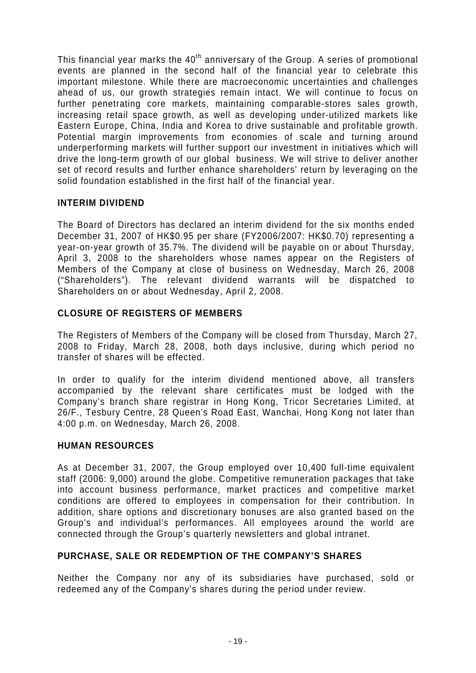This financial year marks the  $40<sup>th</sup>$  anniversary of the Group. A series of promotional events are planned in the second half of the financial year to celebrate this important milestone. While there are macroeconomic uncertainties and challenges ahead of us, our growth strategies remain intact. We will continue to focus on further penetrating core markets, maintaining comparable-stores sales growth, increasing retail space growth, as well as developing under-utilized markets like Eastern Europe, China, India and Korea to drive sustainable and profitable growth. Potential margin improvements from economies of scale and turning around underperforming markets will further support our investment in initiatives which will drive the long-term growth of our global business. We will strive to deliver another set of record results and further enhance shareholders' return by leveraging on the solid foundation established in the first half of the financial year.

### **INTERIM DIVIDEND**

The Board of Directors has declared an interim dividend for the six months ended December 31, 2007 of HK\$0.95 per share (FY2006/2007: HK\$0.70) representing a year-on-year growth of 35.7%. The dividend will be payable on or about Thursday, April 3, 2008 to the shareholders whose names appear on the Registers of Members of the Company at close of business on Wednesday, March 26, 2008 ("Shareholders"). The relevant dividend warrants will be dispatched to Shareholders on or about Wednesday, April 2, 2008.

## **CLOSURE OF REGISTERS OF MEMBERS**

The Registers of Members of the Company will be closed from Thursday, March 27, 2008 to Friday, March 28, 2008, both days inclusive, during which period no transfer of shares will be effected.

In order to qualify for the interim dividend mentioned above, all transfers accompanied by the relevant share certificates must be lodged with the Company's branch share registrar in Hong Kong, Tricor Secretaries Limited, at 26/F., Tesbury Centre, 28 Queen's Road East, Wanchai, Hong Kong not later than 4:00 p.m. on Wednesday, March 26, 2008.

### **HUMAN RESOURCES**

As at December 31, 2007, the Group employed over 10,400 full-time equivalent staff (2006: 9,000) around the globe. Competitive remuneration packages that take into account business performance, market practices and competitive market conditions are offered to employees in compensation for their contribution. In addition, share options and discretionary bonuses are also granted based on the Group's and individual's performances. All employees around the world are connected through the Group's quarterly newsletters and global intranet.

### **PURCHASE, SALE OR REDEMPTION OF THE COMPANY'S SHARES**

Neither the Company nor any of its subsidiaries have purchased, sold or redeemed any of the Company's shares during the period under review.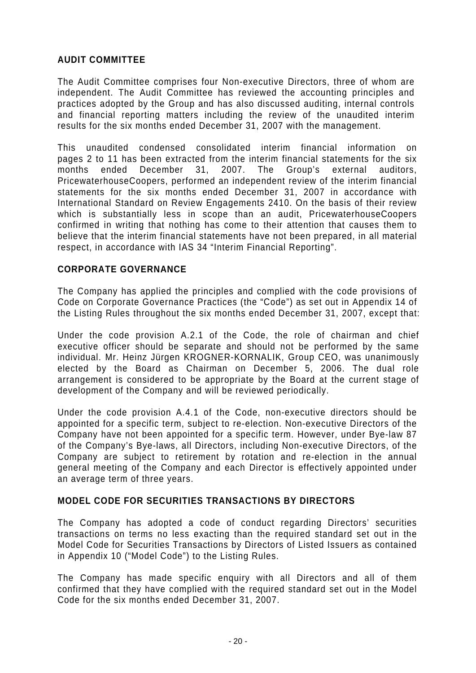## **AUDIT COMMITTEE**

The Audit Committee comprises four Non-executive Directors, three of whom are independent. The Audit Committee has reviewed the accounting principles and practices adopted by the Group and has also discussed auditing, internal controls and financial reporting matters including the review of the unaudited interim results for the six months ended December 31, 2007 with the management.

This unaudited condensed consolidated interim financial information on pages 2 to 11 has been extracted from the interim financial statements for the six months ended December 31, 2007. The Group's external auditors, PricewaterhouseCoopers, performed an independent review of the interim financial statements for the six months ended December 31, 2007 in accordance with International Standard on Review Engagements 2410. On the basis of their review which is substantially less in scope than an audit, PricewaterhouseCoopers confirmed in writing that nothing has come to their attention that causes them to believe that the interim financial statements have not been prepared, in all material respect, in accordance with IAS 34 "Interim Financial Reporting".

### **CORPORATE GOVERNANCE**

The Company has applied the principles and complied with the code provisions of Code on Corporate Governance Practices (the "Code") as set out in Appendix 14 of the Listing Rules throughout the six months ended December 31, 2007, except that:

Under the code provision A.2.1 of the Code, the role of chairman and chief executive officer should be separate and should not be performed by the same individual. Mr. Heinz Jürgen KROGNER-KORNALIK, Group CEO, was unanimously elected by the Board as Chairman on December 5, 2006. The dual role arrangement is considered to be appropriate by the Board at the current stage of development of the Company and will be reviewed periodically.

Under the code provision A.4.1 of the Code, non-executive directors should be appointed for a specific term, subject to re-election. Non-executive Directors of the Company have not been appointed for a specific term. However, under Bye-law 87 of the Company's Bye-laws, all Directors, including Non-executive Directors, of the Company are subject to retirement by rotation and re-election in the annual general meeting of the Company and each Director is effectively appointed under an average term of three years.

### **MODEL CODE FOR SECURITIES TRANSACTIONS BY DIRECTORS**

The Company has adopted a code of conduct regarding Directors' securities transactions on terms no less exacting than the required standard set out in the Model Code for Securities Transactions by Directors of Listed Issuers as contained in Appendix 10 ("Model Code") to the Listing Rules.

The Company has made specific enquiry with all Directors and all of them confirmed that they have complied with the required standard set out in the Model Code for the six months ended December 31, 2007.